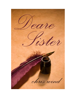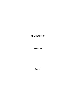# **DEARE SISTER**

chris wind

Magenta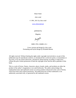Deare Sister

chris wind

© 1991, 2011 by chris wind

[www.chriswind.net](http://www.chriswind.net/)

published by

Magenta

Magenta

ISBN: 978-1-926891-23-1

Cover concept and design by chris wind Formatting and layout design by Elizabeth Beeton

All rights reserved. Without limiting the rights under copyright reserved above, no part of this publication may be reproduced, stored in, or introduced into a retrieval system, or transmitted, in any form, or by any means (electronic, mechanical, photocopying, recording, or otherwise) without the prior written permission of both the copyright owner and the above publisher of this book.

This is a work of fiction. Names, characters, places, brands, media, and incidents are either the product of the author"s imagination or are used fictitiously. The author acknowledges the trademarked status and trademark owners of various products referenced in this work of fiction, which have been used without permission. The publication/use of these trademarks is not authorized, associated with, or sponsored by the trademark owners.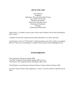# **also by chris wind**

*Thus Saith Eve UnMythed Soliloquies: The Lady Doth Indeed Protest Snow White Gets Her Say Satellites Out of Orbit\* Particivision and other stories Paintings and Sculptures Excerpts dreaming of kaleidoscopes*

"Deare Sister" is available in print as part of chris wind"s *Satellites Out of Orbit* (2nd edition), titled "Letters".

\* *Satellites Out of Orbit* contains the four books listed above it as well as this book.

A performance version of "The Portrait" (a Mozartean piano score with vocalise to accompany delivery of the text as a monologue) is available from the author (chriswind3@gmail.com).

# **Acknowledgements**

"The Experiment" *Herstoria* Summer 2009

"The Ride" *Canadian Woman Studies* Spring 1988, vol.9 no.1

"The Portrait" *The Antigonish Review* Fall/Winter 1986, vol.65

"The Dialogue" was performed at Alumnae Theatre, Toronto, Ontario, February 1993.

An earlier version of *Deare Sister* appeared as "Letters" in the first edition of *Satellites Out of Orbit*.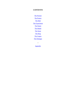# **CONTENTS**

The Portrait The Protest The Ride The Experiment The Patent The Model The Stone The Ring The Grapes **The Dialogue** 

Appendix

•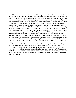This is fiction catalyzed by fact. It is not fiction supported by fact. What I mean by that is that the fiction is totally mine—I didn"t conjecture a reasonable fiction based on the facts: although the characters "writing" the letters are real people, in no case did I uncover information implying that such a letter was written; in some cases, the person being written to wasn"t even known by the person writing (this is the case in "The Patent"—Catherine Greene and Catherine II existed at the same time but that's it as far as I know); and in other cases, the person being written to doesn't even exist (I made up Benetta, Properzia's confidante in "The Stone" and Gawaina, Godiva's confidante and sister in "The Ride"). In fact, I chose women who, for whatever reasons, *probably didn't* write such a letter, or any letter, or anything at all for that matter. Or if they did, it hasn't survived (at least, not in the easily accessible pre-internet mainstream). In this way then, I did not presume to speak for anyone who could and did speak for herself. These pieces are not so much what the characters really would've said but what *I* think they *should've* said. So in light of historical evidence, I may have misrepresented some of the characters. To those who are offended by perceived misrepresentation, my apologies. But since history is, in these cases, scanty, suspect of bias, and sometimes contradictory (see especially the notes for "The Dialogue"), it"s hard to know the extent of any misrepresentation. These women *might've* said what I want them to have said!

That said, even though the letters and sometimes the epistolary relationships are fiction, in all cases *the event giving rise to the letter and most of the events mentioned therein* are real.

There is an appendix at the end of the book containing brief notes about the women who 'write' the letters and the various people mentioned by her, followed by a list of references that I used. This serves to provide background information which sometimes enhances appreciation and might, therefore, be better read before the piece; it also enables readers to realize just what"s fact and what"s fiction.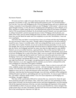# **The Portrait**

My dearest Nannerl,

Of course you have a right to be upset about the portrait. After all, you performed right alongside your brother; in fact, your father had the bills printed to read "Two World Wonders." *Two*, not one. You were with Wolfgang on the 1762 tour through Passau and Linz to Munich and Vienna; I remember Count Zinzendort called you (not Wolfgang) "a little master". And you went again through Germany, in 1763, this time to Augsburg and Ludwigsburg as well as Munich, on to Paris, and then to London where the two of you performed that sonata for the Queen of England. And in 1765 you performed in Holland. No, do not doubt yourself, Nannerl: you were quite correct in calling Carmontelle"s portrait inaccurate because it shows Wolfgang at the keyboard, your father at the violin, and you merely holding the music for them. And he said *you* insulted *him*! I do know how you feel about the matter and I am completely on your side. Nevertheless, I must ask you to apologize.

And I know that your father"s recent decision to leave you at home and take only Wolfgang on this next tour doesn"t make it any easier. Though I admit to being glad not to be left at home by myself for once, I know it is terribly unfair. And I am writing this letter not to excuse or justify your father, but to explain. Nannerl, you are not to take his decision personally. It is not, as you first thought, that you are not good enough. Recall the Elector of Munich insisted on hearing *you* play the clavier, not Wolfgang; and there are many who share his high regard for your abilities. Nannerl, you are an excellent musician, a great performer. Nor is it that you have fallen out of favour with your father; he loves you as much as he ever did. (Which is, unfortunately, not as much as he loves Wolfgang. He is a man of his times. Didn"t you ever wonder why he started Wolfgang on lessons at a younger age than he started you? Surely you noticed he spent more time with Wolfgang? And it wasn"t until Wolfgang was ready to appear in public that he let you perform. You were young then, and perhaps did not notice... All the better. But I know Wolfgang had a head start right from birth and—but enough, I am getting ahead of myself.) Nor is the reason for your father's decision, as you also suggested, that he considers you too frail to withstand life on the road. Wolfgang too came down with typhus in Holland.

Then *why*, you must be crying out! Let me try to explain. There is a time in every girl's life when, suddenly, people stop treating her as a person—and start treating her, instead, as a mere woman. All of the doors that until that time were open are suddenly shut. All except one. It happens to every one of us, some time between twelve and twenty. It is happening now to you. (And later, when that door has been passed through, it too will close, and there will be nothing left: nothing left open to go back to, and nothing open yet to go forward to. As soon as I gave birth to a boy, your father"s attention rapidly shifted: I was of no more importance and Wolfgang was everything—but again I digress.)

This time of life is particularly difficult for someone like you, someone for whom the open doors promised such glory and richness. Why, when still a youth you were performing in all the great centers of Europe, you received excellent reviews and return engagements, you were meeting with all the important musicians of the day, you had a knowledge and experience of the outside world forbidden to others of your sex and age. And you were beautiful too, I know enough of the world to know this is an asset. Oh Nannerl, you had it all! Not even your brother had your beauty! But he had something more important: the right sex.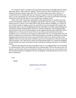It's a betrayal, I know it. It dashes to the ground all of the things you thought mattered: ability, dedication, desire. I had a talent for singing. I found it hard too, when I realized that I was not destined to become a famous singer. But, alas, I loved your father and wanted a family, so I accepted that loss for another gain. But you, Nannerl, I suspect it will be a long time before you marry, if at all, and perhaps you will not have any children. So it must be particularly frustrating and painful to have the only door you ever wanted open, suddenly closed.

I know this is little consolation, and indeed in a less generous heart, it would be salt to the wound, but remember, without you, Wolfgang would not be where he is today. You helped him become what he is. Much as your father likes to take all the credit for Wolfgang, it is simply not true. He had a family to support, a job to do, and while he was away playing in the consort, and directing the choir, it was you Wolfgang learned from. Remember in London, when Wolfgang was introduced to Johann Christoph Bach and the two of them, taking turns, with Wolfgang seated between Bach"s legs, the two of them played a sonata together and afterwards improvised. What a delight that was to everyone! Of course I knew it was with you he learned how to do that. I remember you, as a mere girl of ten, taking your little brother, then six, and "babysitting" him just like that. And there was so much more. All the musical games you made up, and the time you spent helping his little hand form the notes on the staff when he could not yet write the letters of the alphabet. When I saw how much more valuable it was to have you spend time with your music and with your brother, well, I did not force upon you all the domestic duties it is common for daughters to bear. Besides, how many women get to do the washing and cooking to the music of such artistic genius!

And all of that makes this last bit even harder to tell you. You suggested that I ask Carmontelle to re-do the portrait. That is an excellent idea, but it cannot be done. You see, the one you saw was already a second version, done at my insistence. Nannerl, in the first one, you were not there at all. The man had excluded you completely, left you out altogether. (And the portrait you see now is his idea of atonement.)

Love,

Mother

Appendix entry for "The Portrait"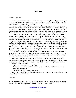# **The Protest**

### Dear Dr. Agnodice:

We are appalled at the charges which have recently been laid against you by your colleagues. The Athenian Association of Obstetricians and Gynaecologists has absolutely no grounds for their claim that you are "corrupting" your patients.

We recognize the dilemma this unfortunate turn of events puts you in: if you do not reveal your sex, thus proving your incapability of the alleged action, you will very likely be found guilty as charged; however, if you do reveal your sex, you will be charged with a different crime, that of contravening Section 1(c) of the Athenian Code of Laws (which states, as you must surely know, that no woman is allowed to practice medicine), and you will most certainly be found guilty.

To protest this action of the AAOG, we, the undersigned, are embarking on an intensive lobbying effort on your behalf. Several of us are married to men of influence, some of us are married to men of wealth, and the rest of us are simply married—which enables us to withhold a certain service, with the result that *no* obstetrician will have work until our demands are met.

We have considered the possibility that our action will bring on the risk of rape. However, we are fairly certain that this will be rare since (1) in such an event, we would momentarily forego our loyalty to you and seek the services of another gynaecologist, a man who knows the husband in question, in order to force upon the transgressor the humiliation of having it known that he must rape, that his wife is unwilling and does not desire (or at least obey) him; and (2) rape would make the husband in question as guilty as you supposedly are.

—If indeed it is rape you have been accused of. To be truthful, we cannot quite figure out what "corrupting" means. If it means you are raping us, then why would any of us keep returning to you? And if it does not mean rape—that is, if it means we are consenting—then what is 'corrupting' about it? (We are not children.)

We believe therefore that the members of the AAOG who initiated and who support this charge are merely jealous: professionally, because your clientele indicates that you provide better service, and personally, because if there is any sexual interaction occurring, it is not with them.

Our demands are reasonable:

1) that the charges against you be dropped;

2) that compensation be paid for personal injury and suffering and for damages to your professional reputation;

3) that Section 1(c) of the Act be repealed.

And we intend to continue our efforts until our demands are met. Never again will a woman be penalized for practising medicine!

Sincerely,

Alethea, Philotima, Lamo, Senia, Terione, Melia, Phryria, Isthnote, Elyclea, Lyspasia, Mycurnice, Iasthia, Chlete, Diomice, Hyaphale, Thetrisis, Eurgenia, Persilea, Dionene

Appendix entry for "The Protest"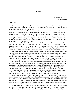# **The Ride**

The Tenth of July, 1042 from Coventry

Deare Sister—

Though it is not long since our last visit, I find once again great need to speak with you! (Would that you lived nearer to Coventry!) You remember the discussion we had upon my arrival, prompted by my journey through Mercia?

Fast upon my return, I spoke to Leofric about the absolute necessity—moral and economic—of lowering the taxes. I described to him all I had seen, as I described it to you: the bordars and cottars living in poverty on their little piece of land, in their thatched wooden huts without any comforts; their meagre clothing, that we are a country of wool producers and traders, boasting the finest weavers" guild, and yet the people of the land are so poorly clothed; and their food, only vegetables, many can not even have meat for a Sunday feast (feast! they do not know the word), not even a piece of wheatbread.

And Leofric said well why do they not come and ask if they want their taxes lowered? If the tax is too high, they would say something—and they have not. But I said, the bondmen can not leave the farms; and the freemen too can hardly leave their work, and their families alone against the wild beasts of the forest. And even if they could, they have no way of getting here. And they can not send a letter, you know they can not read or write, so how are they to "come and ask"?

But he was deaf to my pleas. He likes being rich—he likes his meat and wheatbread, and his very fine mead, his furs, and his embroidered robes set with jewels. Leofric, I said, have you no charity? You speak of founding a Benedictene monastery, are you not a Christian? Are you not bound by mercy, compassion, generosity—justice, for God"s sake, Leofric! You are the Lord of Coventry, the Earl of Mercia—you are responsible for these people! They are our kinsmen!

I swear sister, I would leave, but for the children. I can not think of them left to his ways, but if I were to take them with me—you know I would barely survive myself alone—with the children too, what could I do? I can not read or write well, women receive so little schooling, even in the monasteries. I am dependent on him, it is true: I am no different from the peasants I speak for.

Though some are. Do you remember Ethelfled? Seven years she gave Mercia good and conscientious governance, she built cities, she planned battles, and captured from the Danes, Derby, Leicester, and York. But it is true, she was regent and queen, not an earl"s wife. And an earl"s wife is not listened to. At least not in *this* court. I have heard that some consult their wives about public policy, but not Leofric—he simply will not or can not heed to reason.

Nor to emotion. I told him of the woman with seven children, you remember, three still little and another one on the way, and her husband lame from an attack by wolves, and her two brothers killed in the last battle, there have been so many lately—so she must work in the fields herself if her children are to be fed, she is almost dead with exhaustion, her neighbours try to help but they are overburdened themselves. I cried, I pleaded, Gawaina, I begged! But no. Leofric ordered me out of his room. I felt so—so weak!

So then I went to those who had strength. I know his advisors, I know which nobles he listens to. I spoke with them plainly and directly—but they paid no attention. (Except one—and you would be surprised which—he said he would speak to Leofric on condition—I refused of course!)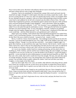Next I went to their wives. But those with influence did not want to risk losing it for mere peasants, and those without did not want to anger their husbands.

Gawaina, I had to do something! So I dressed like a proper little wench and snuck into the mead-hall one night. I thought if I could explain when they were drunk, maybe they would— But I am not as young and fair as I once was, and I was quickly discovered. Leofric was enraged! There he was, shining in his power, and glory, with two or three child-playthings (where do these women come from?), and suddenly his fat old wife is hoisted onto the table in front of him. I felt such shame! But I explained my presence, and asked him again to please lower the taxes. Well, all those merry red-faced drunkards thought it quite delightful—coarse rude brutes! When the laughter died, Leofric said with great solemnity, "I will." Oh, Gawaina! I was so gladdened! But then he added "*If* you ride naked through the marketplace at noon." Well again the hall broke into laughter and there was much toasting to that. To save what dignity I had left, I looked at my husband straight when the laughter stopped and said "I will." In silence then, I clambered off the table (not a one would help—and they think themselves such gentlemen!) and I walked out.

When I got to my chamber, I full realized what I had said! Ride through the town naked! How could I? I am a God-fearing Christian, I can not show myself in public! Only a pagan whore could do that! But if the taxes would be lowered—I prayed to God—maybe I could...

But no, I could not. I know why he made that—that challenge: he does not like his fat old wife. Gawaina, I can not go naked through the town. He is right. With all the children I have had, since marriage at fifteen—though "tis to provide him with heirs!—I am indeed a frightful sight. It is good, these fashions, no one need know how ugly I have become. But he knows. And he wants to make a fool of me. And if I ride, he will. (Especially if he does not live to his word. It could be he was too drunk to even know what he said. And I will be twice the fool to take him seriously.)

As I was in my chamber, mother heard me weeping and praying, and she asked what was troubling me. Well, I told her, and she said the most wondrous thing. She said "Godgifu, your body *is* beautiful if you can use it in that way, to ease the burden of all of Mercia. To give the people a good life—to use your body for such a noble purpose is to *make* that body beautiful, my child." She then said, with a smile, that Leofric would never have the strength. The men, she said, they speak of courage and glory, but there is not a one among them who would not feel naked without his *armour*, can you think of him in public without his *clothes*? And God will *bless* your body, Godgifu, it is the temple of the Holy Spirit.

And I saw she is right. She is very wise, our mother. (She offered to ride along with me, naked too!) I know he is trying to trick me, to force me to use my body as women have always had to, never to use their minds. But it is good to use my body in this way. In this way I use my body to serve my mind.

When I first decided to ride, I hoped no one would look. But now I have changed my mind. Sister, I hope everyone looks and sees this beautiful noble body! I may even put up my hair! A body is not ugly that has borne children, a body is not ugly that displays for justice—no matter how it looks!

So, deare sister, ask God"s forgiveness for me, wish me luck, and pray the brute lives to his word. Tomorrow, I ride!

Godiva

Appendix entry for "The Ride"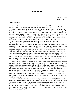# **The Experiment**

January 12, 1796 Bristol, England

Dear Mrs. Phipps:

You don't know me and I don't know you 'cept it's the talk that Mr. Jenner is going to use your boy James for an 'experiment'. Mrs. Phipps, you mustn't let 'im!

I saw Mr. Jenner, back in "66 I think "twas, when he was still an apprentice at the surgery in Sodbury. I can't remember what was ailing me but I do remember a chat we had about the pox. I'd told "im that I couldn"t catch the smallpox because I"d had the cowpox. My mother"d packed me off one day to a cowparty—whenever a cow on one of the farms had the pox, all the chil"ren in the village went to milk it. We'd stay past tea, play a bit o' tag or King's Statue—we'd have our cowparty. Then soon enough all of us would get the cowpox—which is nothing, a few warts is all—and because of that we"d never get the smallpox. Which as you know can be fatal.

Now I recall Mr. Jenner was quite int'rested in my belief. I told 'im 'twas not jus' my belief—everyone knew"t, "twas common knowledge, I told "im. He insisted that it was perhaps, at best, a common belief. That irked me, it did. So I asked "im, what"s the diff"rence "tween belief and knowledge? He ever so kindly explained that when you *knew* something, it was true, but if you just *believed* it, well it could be nonsense. So I told "im again that all the chil"ren who went to cowparties and got the cowpox did not get the smallpox—so "twas true, wasn"t it! He muttered something about old wives' tales, and I assured 'im the men knew't as well as the women. He stood up in frustration then and said, not without a touch of anger, "But has it been *proved*? You haven't got *proof*!' 'What proof?' I asked. He stomped around the room then said, 'Proof, my dear, comes from intelligent observation and logical deduction. That"s *science*!" Well it seemed to me my belief had as much as proof as any, and was therefore knowledge, even science. But as Mr. Jenner seemed to getting a little hysterical, I wasn"t about to stay and tell "im so.

Now I hear he"s going to do an "experiment", to *prove* that getting the cowpox stops you from getting the smallpox. Well at first I laughed! If he only wants to find out *that* it"s true and not *why* it's true, well he's not doing anything of int'rest, is he? And an 'experiment'? Why what's an experiment but observation? The only diff<sup>7</sup>rence I can see 'tween what he's going to do and what we've been doing is he's going to observe something *he rigs up*, not something that's already happ'ning in the normal course of things. And perhaps what with his lists of figures and notes—what does he call it, his "data"—maybe he thinks *his* observations will be better. But of course that's nonsense, isn't it? Writing down what I see doesn't make what I see any diff'rent, better or worse. I could still see it wrong, or miss something altogether, couldn"t I? I could even write it down wrong!

Today I heard one of the lads say that if his experiment works, he"ll surely be famous for discovering the smallpox vaccination. I asked what a vaccination was, and then he told me exactly what the experiment was into. Well I laughed, the man's absurd isn't he to say he's going to *discover* a vaccination, since we've been 'vaccinating' against the smallpox for years. After I thought a bit, I got angry. I should like to know if Mr. Jenner is going to give his vaccinations away. Not bloody likely! I"ll bet he"s going to try to *sell* them, and make a pretty penny out of it! Doesn"t seem proper, does it?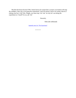But then the horror hit me! If Mr. Jenner knows for certain that a cowpox vaccination will stop the smallpox, then why is he doing the experiment? And if he doesn't know for certain, then he's risking your boy"s life! Mrs. Phipps, you must stop "im! Ask "im why he"s not doing the experiment on 'imself! Go on, ask 'im!

Sincerely,

Ellen (the milkmaid)

Appendix entry for "The Experiment"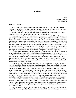# **The Patent**

C. Greene Savannah, Georgia July 20th, 1792

My dearest Catherine—

How I would love to send you a magnolia tree! The fragrance of a magnolia is so sweet, Catherine, you can forget just about anything. Some like a camellia, and some prefer sweetgum, but I tell my folks, bury me under a big magnolia and I"ll rest just fine.

Not that I'm thinking about dying—but when you're past sixty, you know as well as I do, some things have a way of reminding you that you won"t live forever.

But enough of that, let me tell you right away about my new invention! I'm calling it a cotton gin, though it might work for other fibers as well. (Do you grow cotton in Russia?) It"s a machine to separate the fibers from the seeds, and this is how it works: you put rows of teeth onto a roller, and line it up with a comb; as you turn the roller (there's a handle on the end), the teeth fit through the ribs of the comb; so when you feed cotton through the machine, the teeth catch the fibers and pass them through, but the comb catches the seeds and they're left behind! It's simple really. The idea came to me while I was combing Charlotte's hair after her little dance, when it was sprinkled through with sequins. (She"s started sassing her old grandmother these days, but I reckon she"s just growing some southern spirit. The rest of them are doing fine—what news of yours?)

A young man who has been boarding here at the plantation for a while has just made a model of my machine for me, and it really works! (I have enclosed my design sheets so you can manufacture it too, though perhaps you will need to change the measurements for whatever fiber you"ll be putting through it.) I"m absolutely delighted because the women have had to work so hard at separation—it's such a slow and tedious job. But now, we can make a machine for each of them, the work will go much quicker, and they"ll have more time to tend their houses, play with their children, sing, dance, whatever—

Mr. Whitney (the young man) is excited about the idea too. Actually he seems a bit overly excited. He's talking about revolutionizing American industry—he sees cotton fields stretching from one end of the country to the other! I told him I didn"t think the country needed that much cotton. He said we could export it. I said other countries, as far as I know, generally have no problem providing themselves with fabric for clothing. But he thinks the whole world should wear cotton now! It was awful to hear him talk on and on: he had plans for a giant cotton gin, one to fill a whole room, then hundreds of them in a huge single building. I told him I didn"t think the women would like to work in a building with a hundred giant cotton gins whirring and clanking. He laughed and said "Oh no ma'am, not the women, we'll need *men* to operate these machines." I asked "Then what will the women do for work?" He didn"t seem to think they needed to work. Rather than pursue that ridiculous line of thought, I simply told him I didn't think the men would want to work in that kind of environment either. "Oh they will," he said smugly. When I raised my eyebrows, he explained—"If they haven"t got anything else to do". Catherine, to hear him talk—heavens alive!

I must warn you by the way, that the gin tends to damage the fiber a bit, especially the long breeds. I haven"t yet figured out how to avoid that, and until I do (you"re welcome to give it some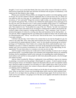thought!), I won"t use it on the finer blends. But since some of the women will prefer to work by hand anyway (especially the older ones and those not blessed with any great co-ordination), I will simply put the finer blends in their charge.

Phineas (you remember Phineas Miller, my manager) has spoken to me about getting a patent for the gin. Do you have patents in Russia? Apparently they"re a bit new here, the U.S. Patent Act was made law only two years ago. As I understand it, a patent gives the inventor (they"re only for inventions, of "new and useful" things) the exclusive right to make, use, and sell a specific device, for a specific time period. Why, it seems to me it defeats the whole purpose of my cotton gin if I"m the only one who"ll be allowed to use it! And it seems incredibly selfish, doesn"t it? I told Phineas what I thought and he merely laughed, and said I didn"t understand. "Well I beg your pardon," I said, "then explain it to me." So he pulled out a copy of the Act: "Patents," he read, "are to promote the progress of science and useful arts by securing for a limited time to authors and inventors the exclusive rights to their respective writings and discoveries." That's nonsense, I said. You don't promote the progress of science by *coveting* your ideas and inventions, but by *sharing* them—as you and I do. When I suggested that this was indeed what we filled our letters with, he turned white as a bleached potato sack. "Oh my" was all he said. Then he left the room. You can understand that I was quite confused.

I still don"t like the idea. I don"t believe for a minute that no one else has thought of a gin, for cotton or any other fiber. Why, many ideas and inventions have been 'discovered' simultaneously or consecutively by people ignorant of others" work. So why should *one* person get an exclusive privilege to it? Furthermore, I don"t believe for a minute that all the credit should be mine: I am indebted to my past, to whatever education I received, for the prerequisite knowledge I must've needed; and I owe my present circumstances for, what shall I call it, for the right timing, for the opportunity? No one exists alone, in a vacuum, so no one can own an idea.

And I'm suspect of the reasons one would *want* to claim ownership. It seems to me it's all ego and personal profit. I can perhaps forgive such immature and irresponsible motives for something frivolous, but for something as useful as the cotton gin, for something that would eliminate so much tedious work and free so many people for other more pleasurable pursuits, why the thought just sickens my heart.

And yet, when I recalled Mr. Whitney's nightmarish vision and Phineas' anger at my response to patenting, it occurred to me that perhaps I *should* apply for a patent—if only to protect my gin from such gross misuse. So I decided to inquire into the matter after all, and I was told that women aren"t allowed to apply for patents! Can you believe it? I don"t rightly know what I"ll do yet, but I will certainly keep you in touch. (Are women in Russia allowed to apply for patents?) (And are you thinking what I"m thinking?)

Before I close, Catherine, I do want to thank you for the idea of crop rotation. It makes *perfect* sense. What we need now is more exact knowledge about which crops use which nutrients from the earth; if we can figure that out, perhaps no one need go hungry again. Do let me know how it works out for your farmers. I am going to see if the idea can be applied with benefit to the kind of soil we have here.

**Catherine** 

Appendix entry for "The Patent"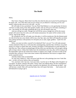# **The Model**

Helen,

Don"t do it. I beg you. Marry him if you like, but when he asks you to pose for his paintings (as he surely will—he is fifty-three and you are sixteen, do you think he"s marrying you for your mind?), when he asks you to sit, to lie still—say No.

He will make of you a prostitute. You see, Peter Paul Rubens is a very good pimp: he knows well how to make money from other people"s bodies. Oh, he will say he will make something of you—but instead, he will make something *off* of you. He will merely copy you.

And you will get no credit. Though you will fill the canvas, though *you* will be the reason people will want to buy his work, you will remain anonymous: *his* name will be written on the canvas. And on the cheque.

He will glorify you: he will make your skin glow, it will be translucent, like the thinnest petal of a lily lit by the sun; your cheeks will be rosy, your lips, ripe; your flesh will hang like succulent fruit, plump and heavy with promise; he will paint you as saint, angel, goddess—myth! He will falsify you!

Helen, you must not allow yourself to be idealized! Don"t you see? You will make peasant women ashamed of their tan, it will seem dirty and disgusting, and then they will throw away their money on creams to whiten their skin. Women will begin to stuff themselves to look beautiful, to look like you. They will go on eating binges till they throw up, and then they will eat again, taking pills to keep it down. Unless their bodies have the metabolism yours has, they will be trying to do the impossible! And not all women have frames to support your weight. You have no idea of the extremes they will go to: I have seen some women strap themselves into braces to support their newly acquired excess!

And they believe they are beautiful!

No, they don"t believe it. They will never look like me in the paintings (not even I look like me)—so they will never believe they are beautiful.

Yes, you know who I am now. I am your sister, I am the one in *The Rape of the Daughters of Leucippus*. So please, attend to this letter, I know what I am talking about. See the consequences *before* you take the action! If you allow yourself to be idealized, you will become an ideal—you will become a *model*. Men will want that body, they will expect that body. And women will kill themselves trying to get it.

Suzanne

Appendix entry for "The Model"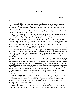Benetta—

So you really did it! I saw your marble come from the quarry today. It is a very big piece! Where will you put it? It won't fit in your apron pocket like your peach stones— But I guess you're no longer going to hide your work. I envy you that. People will know now, they will be saying 'Benetta, the sculptor'!

And 'Properzia, the notary's daughter'. If I am lucky, 'Properzia, Raphael's friend'. No-if I am lucky, 'Properzia, Benetta's friend'!

No, if *you're* lucky. Benetta, do you really think that by doing something big you will become famous? You know quantity has nothing to do with quality! The size is irrelevant. Not to mention impractical. You won"t be able to hide it—and I don"t mean from your husband now—well, you hear the talk of invasion as much as I do. And you won't be able to carry your work with you wherever you go—around the house, around town, around the country. What if your husband gets posted somewhere else, again? You will even have to build a separate room to work in (I do wonder where the money is coming from), and then you will be able to work only there—what of the summer days we spent in the meadows with our tiny stones?

Benetta, it seems like such a risk. To do something so big. I mean, well it had better be good, because it may be the last piece you do—it will take you so long! Yesterday you had ideas for ten different pieces. You won"t have time for them all now—are you sure you really want to spend five years on one piece? (And that is with assistants—who will want to be paid. Tell me, do you honestly look forward to collaboration or do you now, like Michelangelo, just want to give orders to other people?)

But all right, you have made your choice. Big it is. But why marble? Why not wood? (I"ll use the peach *pits* and you can use the peach *trees*!) There"s lots of it and it"s far cheaper. Is that it? Do you believe that the rarer it is, the more valuable it is? But that"s silly! I need only go to the orchard and the ceramic artists simply go down to the river—but so what! How will having to order your material from far away make your piece any better? And why should something expensive be more valuable? Air is free, but I consider it valuable indeed. Just because you have to pay dearly for your marble— And again, consider the risk—I mean, suppose it isn't great—all that money—

And listen, there"s more to it than all of that: don"t you see, by using marble, by using *material* that"s rare and expensive, you"re helping to make *art* rare and expensive—its production *and* its acquisition.

And in our society, who is it who has the money? Not us! Our husbands, our fathers, our *men*! So it"s not only elitist, it"s also sexist! Benetta, as it is, only men are "allowed" the *desire* to be an artist (of all Marcantonio"s students, we two are the only women—and if it weren"t for the fact that we also had to audition, we"d never be able to withstand the comments, you know that). Don"t give them a monopoly to the *means* as well!

Either way, size, or rarity, or expense, it"s *form* you"re focussing on. Pretence, not substance—not *essence*! Tell me, which is of greater value: an inconsequential, meaningless figure done of an eighteen cube feet of solid gold, or a piece so strong in emotion you weep or so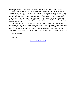disturbing to the mind it shakes some fundamental belief—made out of a handful of clay?

Benetta, you're breaking with tradition—women have a long line of work in miniatures: Anastasie with her paintings, continuing what Laya did as far back as 100 B.C., and the jewelry artisans, the petite-pointistes— And yes, sometimes it's good to break out of the mold, but you're merely taking up a fad! This obsession with bigness, it's only the result of the current fusion of sculpture with architecture—and certain male egos. Are you trying to outdo Michelangelo"s *David*? Is *your* marble *nineteen* feet high? I'm not saying I don't admire his work. It is good. Just not necessarily better.

Yet if we *must* compare, I do think 'ladies' art' wins out. It requires a far greater sensitivity of touch, such fine motor control, exacting precision skills— Could your Michelangelo do a crucifix on an apricot stone? On a cherry stone? Could he have done the set I just finished—eleven stones with Apostles on one side, saints on the other? We don't need science to tell us that women's fingertips are more sensitive: we *know* men's touch is coarse, and clumsy—fit only to handle rock.

with great affection,

Properzia

Appendix entry for "The Stone"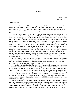# **The Ring**

Vienna, Austria December 1, 1925

Dear Lou Salomé—

I have put off writing this letter for so long, perhaps I"d better deal with the procrastination before I deal with what has finally nudged me to put pen to paper—which is, of course, this business about the ring. Why have I not wanted to write to you before this? The reasons are as unclear to me as those which answer the converse question, why have I wanted to write to you now?

I suppose jealousy needs to be mentioned. Sigmund would like that, believing as he does that it is one of the dominant motivating emotions of the female psyche. But contrary to his theories, it is not a case of female jealous of male, but female jealous of another female. (Yet, since what I am jealous of is a male"s attention, I suppose it"s really the same thing.) I can"t understand it: I mean, my husband has been close to women (closer to other women than to me, I mean) in some ways (in ways that matter to me) many times before. I know that my own sister, Minna, and he are very close. So for someone else to figure brightly in his life, even at this late stage, is nothing new to me. Then why is it so upsetting? I guess because part of me was, all that time, through all the others, seeking comfort in the belief that though he may be close to one or another at various times throughout his life, in the beginning and in the end, it is I who occupy the prime spot. But here we are, in our 60s, and though he and you met more than ten years ago, you are still important in his life. And he is spending his last years close not to me, but to another: it is to you he writes his letters, to you he opens his heart and mind; it is your occasional visits, your presence, he looks forward to, not mine.

Oh you will say, but Martha, everyone knows he loves you in a way he loves no other. This is true, I don"t deny that. But it is not a way that matters to me. To be cherished for one"s nurturance, gentleness, sweetness, efficiency—to be loved for the mother and housewife I am—that is not important to me, that is not enough for me. That is not me.

Oh yes, I know, that is what I have become. Why? Well, certainly these were the expectations of Sigmund—of the man I loved, of the single most significant person in my life. And everyone else I knew, my mother, my brother, seemed to agree. (How did you escape this, this is one thing I want to ask—) So I accepted the role, thinking the one, motherhood, only temporary, and the other, housewifery, only part-time. How wrong I was. And how difficult it has been to live in that wrong.

(No, that is only partly true. I did not exactly "accept" the role—I had little choice: I was pregnant three months after our marriage, so short of killing the child or giving it away, I had to become a mother; and since Sigmund had outside work and I didn"t, it made sense that I take on the household management.)

But you see, I wasn't always like this. Before our marriage, Sigmund and I used to talk a great deal—like he does now with Minna, and Anna (you know our daughter, of course), and you. And letters? Oh we wrote, at length, discussing, analyzing—like he still does, I assume, now with you. I remember Sigmund once confessed—yes for him it would be like that, a confession—that because I wrote "so intelligently and to the point" he was just a little afraid of me—he couldn"t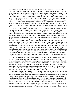bear to have "his sweetheart" smarter than him. Our interchange was warm, intense, sensitive, challenging. But near the end of our courtship, I felt all of that change. I felt more like a passive receptacle for his—his chronicles of existence: he"d write on and on about what he did and what he thought, responding less and less to what I did and thought. With our marriage, the letters of course stopped. But so did that kind of interchange. You see, after a while *all* he wanted to talk about was himself. (I often wonder if his earlier interest in me was insincere, a mere strategy to acquire a mother for his children and a keeper for his house—a strategy abandoned as soon as the end was achieved.) He expected our intelligent conversation to center always around his interests, not mine, his work, not mine. What work, you ask. Well, motherhood and housewifery, since those were my only remaining spheres of activity. Don't be silly, I hear you say, surely you can't think that *that* is as important as Sigmund"s work. Well yes, yes I do.

You see, the other reason we stopped talking is because I simply wasn"t interested in his work. People thought I couldn"t understand it. But oh, I could. I didn"t have the chance to attend university, but I was well-educated as a young woman, the Bernays were a distinguished family; I studied literature and music, why Bertha (Pappenheim) was a good friend of mine (she was the one who translated Wollstonecraft"s *Vindication* into German), and we would often converse for hours. I did understand Sigmund's work. That's why it didn't interest me. And in fact, I suppose that"s another reason for my writing to you: curiosity. I can"t understand how an intelligent woman like you, an older woman, a woman who has experienced much—and this, this is another reason—I am jealous not only of a male's attention, I'm jealous of *you* too, of what you have been, what you have done in your life: at seventeen, you were reading Kant, Schiller, Pascal, Descartes, Kierkegaard; you studied at the University of Zurich, theology, philosophy, the history of art; you knew Rée, personally, and Nietzsche, and Rilke; you"re the author of novels, stories, essays (I especially enjoyed the analysis of Ibsen); men knew you as an intellectual; you walked the streets at night unchaperoned. So I can"t understand—how can you be sincerely interested in Sigmund"s ridiculous theories? Yes, ridiculous! I do think conversation about motherhood and housewifery would have proven far more fruitful in explaining, analyzing, women's feelings, thoughts, fears, motivations.

But of course Sigmund would discredit such talk. I"m not sure if it"s because he discredits all women"s testimonies or just mine. (You may rightly remind me that the very process of psychoanalysis starts with listening to what the patient says: starts, yes, but ends, no—Sigmund interprets what he chooses to hear, I know that too well.) You"d think he didn"t have a wife, what with his ridiculous theories about female sexuality. How different all his ideas about vaginal orgasm, and clitoral orgasm, and masochistic tendencies, and so on, would"ve been if he"d just once asked me, "Martha, what do you like, does this give you pleasure, how does this feel, what do you want"—but no, of course not. That would be out of the question.

Not only because it would be asking for *my* truth, a woman's truth, but because, you see, sex for him meant reproduction; sex for pleasure was considered perverse. So there was no need to inquire about my pleasure or my opinion because given his belief, his opinion was fixed: he had to say that vaginal orgasm was mature and clitoral orgasm immature, since the former involved reproduction, the latter, mere pleasure; he also had to say, therefore, that penile penetration and ejaculation were the main events of sex: a very neat theory since in the male, then, reproductive activity *entails* pleasurable activity; women fare less fortunately, of course, having to choose *between* sexual pleasure and maturity. To go further, Sigmund believed sexual intercourse to be essential to his health: not to ejaculate (in my vagina—masturbation, as it is non-reproductive, would indicate fixation at the infantile level) would result in a build-up of "sexual toxins". In fact,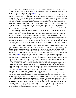he believed something similar about women, and every time he thought I was "anxiety-ridden" (which was often since I had six children within eight years), he"d administer the "solution" to my problems—sex. (That is, he"d rape me).[1][2]

At first I believed his analysis. No one else had ever spoken to me about sex with such authority. If someone else—my mother, a friend, another "expert", *anyone* else—had spoken of the same topic, I'd have had alternatives; but as it was, there was only his view (the words of someone vested with credibility by many others) against my own experience (unvalidated by corroboration with others). Well, it was easy to dismiss my individual and conflicting evidence as abnormal. Years later I realized how childish it was of me to accept his ideas. (I also realized how many of his views were mere wish-fulfillment!) But then, he had made me feel like such a child, such a subordinate. It wasn't until I had Mathilde, my first, that I felt mature again, equal again, having then a subordinate of my own.

Which leads me to another reason for writing. What on earth did you use for contraception? I know the answer is, in practice, irrelevant now, but of course I assume you were sexual, and, rumour has it, with a great number of men—your serial polyandric lifestyle has not escaped my interest. But as far as I know, you have no children. And that stirs again my jealousy. You see, another reason Minna, and you, and the others have been more attracting, more interesting to my husband, is because you haven't had children to be responsible for. When I was still young, in the early part of our marriage, I had an infant of eight months, a two year old, a three year old, a five year old, and one seven or eight months on the way. How in God's name was I to have the energy and desire left over to discuss his theories?

Theories which were not worth discussing anyway. For instance, the whole idea of penis envy is preposterous. It's a kind of sour grapes projection. That's really all it is. Our wedding night was disappointing to Sigmund. He had been looking forward to the much promised "endless night of marital bliss'. When he realized that that was for the woman, that I could carry on much longer than he could, that women had a much greater capacity for sexual pleasure than men, well he was almost enraged.[3][4] Furthermore, the fact that his penis was not under voluntary control bothered him; to have such an obvious display of powerlessness in the presence of another—what a blow to his male pride! And it was so vulnerable, so exposed—surely an oversight of biological evolution, since if it was so important, as he saw it, to individual psychological survival and collective physical survival, you"d think it would be more protected.

No, Sigmund envied the clitoris: it was much more capable, as it could give long periods of sexual pleasure; it was more efficient in that such intense sensation was concentrated in such a small area; and it was evidence of greater development in that it was the only thing specialized solely for sexual response in the human species. And the other sexual parts were hidden away, safe, protected.<sup>[5]</sup> To cope with his problem then, he projected his envy of the other's sexual equipment onto the other. And so we have the theory of "penis envy".

Consider also his theory of the incest taboo and the accompanying desire to violate it. It"s just another instance of him spending his life constructing elaborate theories to account for his own individual feelings and actions. This one supposedly explains why he slept with Minna: it was his way of violating the incest taboo, because he saw Minna as a fantasy mother. Nonsense. I have a much better explanation: she wasn"t in the advanced stages of pregnancy like I was, so she was more sexually attractive. Simple and sensible. (I might point out, too, that not only does his time with Minna violate the incest taboo, it also violates his own theory of sex for reproduction: afterwards, he arranged for her to have an abortion, so he must've done it for the pleasure only—by his own standards, an act of perversity, as well as immaturity.)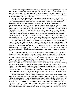The interesting thing is that his theories about women turned me, through his expectations and demands, into a housewife (concerned mainly with household maintenance and management), and his theories about sex turned me into a mother (pregnant, tired, occupied with the responsibility of six little human beings). But when, then, therefore, I was no longer a suitable comrade, colleague, or lover, he rejected me—not his theories.

No doubt you are wondering, at this point, why I married Sigmund. More, why did I stay married to him? Well, first, let me tell you, our marriage was not without conflict. In fact, Sigmund associates with women like Minna, and you, not, or not only, because you offer intellectual discussion which I do not, but because in your discussion you offer total agreement and admiration. Which I do not. Of course people think otherwise: Sigmund would not have it known that his wife argues with him. Better they believe me to be a contented little hausfrau. But even our engagement was stormy, and I thought many times of calling it off.[6] We quarreled over religion (I remember I cried the first Friday night after our wedding when he refused to let me light the candles), over money (for a while, due to an inheritance and an uncle"s gift, I was the financial supporter),[7] over the apartment (he signed the lease without even consulting me), over the children"s names (he chose them all, from men he admired), and on and on. His mother adored him and catered to his every wish (she got rid of the piano when his sister"s practising disturbed his precious study), and he expected me to do the same. He wanted to own me. I insisted on autonomy.

So why did I say yes to a man who told me even before our marriage that he adhered to the old ways, that he thought a wife must be obedient and attentive, that he thought women were incapable of ethical thought and behaviour, that he thought Mill couldn"t be taken seriously? How can I respond? I can only answer that I was young when I accepted his proposal, and then it became too late to retract, too costly to rebel: I had six children. But, I can also ask, how is it a woman like you, now in the full maturity of intelligence and experience, how can you be so interested in such a man?

Don"t you see that the same criticisms you made years ago of Nietzsche apply now, still, to Sigmund? Nietzsche believed that women are by design closer to nature, that "Everything in a woman hath one answer—its name is childbearing." To this claim that women are no more than their sex, you said "No, you are merely incapable of seeing anything more." Yet you accept Sigmund"s analyses which are based on the same premise: he claims women"s nature is largely determined by their sexual function.[8] Nietzsche declared that women are "weak" and "chronically sick"—don"t you see Sigmund believes the same? (For we all suffer from penis envy or a castration complex or an Oedipal complex or hysteria or neuroses...) Nietzsche said that "When a woman has scholarly inclinations, there is generally something wrong with her sexual nature"—a clear case of Sigmund's masculinity complex, such women are "regressive", cases of "arrested development". Nietzsche declared women to be "recreation for the warrior"; Sigmund wants a wife who provides a soothing, safe retreat from the world, he wants a "ministering angel" to tend to his needs and comforts. Need I go on?

No, I need not go on. I have written my letter now, and can add it to those my husband and daughter have been writing to you for years: you are like a wife to him, a mother to her. I know you call her "Daughter Anna"—you must know how that hurts. You have all I haven't and take what little I have too. But then, I am glad Anna has you to look to; it would be sad if I were her only example. This way she has known someone who will be remembered. For I have no doubt that your name will be entered in the history books: you were one of the first women to fight for and gain entrance into universities; your stories, novels, and numerous essays, and certainly *A Struggle for God* (written when you were only twenty-four!) will surely be on library shelves; and if all that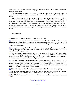is not enough, your mere association with people like Rée, Nietzsche, Rilke, and Sigmund, will have you remembered.

I too have been so associated. Almost all of my life, and on terms you"ll never know. But that will not be a reason for me to be remembered. Wives are peculiarly exempt from that kind of notice.

Before I close, Lou, there is one last thing I"d like to mention: the ring, of course. Another reason for jealousy, you might be thinking, since Sigmund has just bestowed upon you this symbol of his trust, this token of acceptance into his charmed circle—a circle from which, though it includes even wives of friends, I have been excluded. But no, not jealousy. Not this time. It is, rather, pride that I feel. And this is the last thing that I want you to know: in spite of everything else, I am proud *not* to be a minister of psychoanalysis, not to be a disciple of Freud—not to wear his ring.

Martha Bernays

[1] Even though after the first few, we couldn"t afford more children.

[2] In view of this practice, it is understandable how he came to believe that coitus for the female was (a) passive—for which of us would actively assist in a rape? and (b) painful—no need to comment here. But it is puzzling how he came to believe women desire that pain—unless it's pure rationalization, to justify his actions, to absolve his guilt.

[3] This might be the catalyst too for his moralistic theory about sex properly being for reproduction: he knew that that would effectively (and spitefully) classify my pleasure, deriving obviously *not* from penile penetration/ejaculation, as perverse.

[4] Given this, it's odd then that he believes women have a weaker sex drive—probably he repressed the knowledge of that night, preferring to measure by subsequent sex (during which I *did* demonstrate a relative disinterest since it involved only penetration) (I never again touched myself in his presence); too, I was pregnant most of the time and that does odd things to my desire.

[5] I sometimes think that this partly fuelled his obsession with penetration: he wants to get at the womb. Not only does he envy us because we have one and can therefore carry and give birth to another human being (the reproductive task, that task of supreme importance to the species—and to him—has been entrusted to us), he also envies its invulnerability—if he could only get at it, pierce it, pummel it, he could render it vulnerable (as vulnerable as his penis perhaps).

[6] Still now I wonder—if I had chosen Fritz (Wahle, the painter) or Max (Meyer, the composer)—

[7] This upset him, he likes to control the money, and so he has not yet told me that he has been sending money to you for years—but it's not something I mind much—I mean, if you need it—

[8] Though he does "not overlook the fact that an individual woman may be a human being in other respects as well"!

Appendix entry for "The Ring"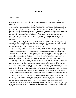# **The Grapes**

### Dearest Deborah,

Please reconsider! You know you can come here too—there"s room for three! He who presumes to justify the ways of God to man, cannot ever hope to justify his own ways to his daughters!

For a man so very interested in education, he was quite disinterested in ours. Oh he was willing to spend a great deal for the education of his nephew, but for his daughters? Nothing. He took care to teach us only what we"d need to know to be his servants. Don"t you remember Deb, the hours of drill in Greek, Latin, Hebrew, Syrian, Italian, Spanish, French? Don"t you remember the boredom, the frustration, reading pages and pages we didn"t understand? But that was fine—*he* understood it. And make no mistake, we were to read *for him*, not for ourselves. He used to joke, don"t you remember, "one tongue is enough for a woman". He insisted that our minds were "infantile"—minds that at ten and twelve years of age could be taught to read aloud in seven languages.

Then when our "whining" finally got too disturbing, he sent us here to learn gold and silver embroidery. This is our education! But of course, it isn't us he is thinking about at all: it is well known what a luxury gold and silvering is considered to be, and therefore what status it confers on the father who is able to send his daughters for such training.

Well, *two* of his daughters—Deb, come join us! Does he still call you in the middle of the night to take down his precious verses, complaining that he "wants to be milked"? (How apt for such a cow, such a stupid beast!) I remember that whenever we grumbled about it, rubbing our eyes, stumbling with the candle, he would make *such* a fuss, be *so* appalled, and insist that *that* was when Inspiration chanced to light upon him, and it *must* be obeyed. Inspiration, hell! That man never had an inspired thought in all his life. He *chose* to think about his work at that hour—then *he* needed to be obeyed. That whole routine made him feel like God"s chosen messenger.

Deborah, why *do* you stay? Do you think for your pains you will get gratitude? Recognition? You should know by now, you won't—not from him or from anyone else. Why, you too have heard his comments: "I looked that my vineyard should bring forth grapes, and it brought forth wild grapes." And he's not the only one: just the other day I read that "Milton's daughters chose to reject the fair repute that simple fulfillment of evident duty would"ve brought them." "Evident duty"? What of his to us? "Simple fulfillment"? Let them live with him for but a day! Why, we are "damned to everlasting fame... as embittering his existence"! Is that recognition? Gratitude? I wouldn"t be surprised if historians refuse to even name you as his amanuensis. And don"t count on his will for recompense.

Don"t you see that by not providing us with a real education, he has silenced us, withheld from us a voice? (And this from a man who writes so strongly *against* censorship!) Or at least he crippled what voice we had—poor Anne, she still cannot speak easily. Do you know why she has that impediment? It's not from birth: it's because every time she opened her mouth to say something, he insulted her, mocked her, sneered at her—or if she was lucky, just ignored her. It's no wonder she couldn"t even write her name for the longest time—without a voice, one has little identity.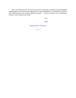Deb, you should come too. Let him know what it's really like to be blind, to be handicapped, disadvantaged, to be denied certain opportunities, certain possibilities, to be dependent, to have to have others speak for you, unable to speak for oneself— We know, because we are uneducated, because we are women in his world.

love,

Mary

Appendix entry for "The Grapes"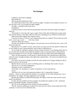# **The Dialogue**

Lasthenia, your beard is slipping.

Why thank you.

Did you get the mathematics done?

No. And I tried so hard, Axio, after you left last night. I worked at it for another *two hours*. It"s just not clear at all. Can you help me again tonight?

All right—I should be able to get away.

Wonderful!!

Lasthenia, *please* be more discreet passing these notes back and forth. People will begin to notice us.

Well maybe it's time they did. I get so angry! None of the other students have to pass notes, they murmur freely to each other whenever they have something to say. (Which is all the time.)

None of the other students have soprano voices.

None that we know of. Haven"t you wondered about that new student? The one who sits in the back—never says a word— Also has a beard.

Stop now, Plato has come in.

See that's the problem with this disguise. Not only does it cut us of from the men, it cuts us off from each other too.

But otherwise we couldn"t be here, and we"d be even more cut off. Now *please*! If Plato sees us, he"ll think we aren"t paying attention, and I"d hate to offend him so!

Do you think he's going to continue with the concept of justice? I was thinking about that on my way here this morning. And I think the problem is that we associate justice with goodness. Look what happens if we *don't* do that: something can be just without necessarily being good.

That's an interesting idea. So the person to whom the guns were entrusted gives them back when the owner, though no longer in his right mind, requests them—the action can indeed be just, but not good.

Yes, and it can be *just* to charge everyone the same amount (or to charge anything at all) for medical services, but not *good*.

But that doesn't get us any closer to defining justice, to deciding what is and is not just.

Well to me, it's a lot like mathematics.

Meaning you don"t understand it?

Very funny. No, meaning it's a matter of equations, of strict equivalences. Go on.

Well that's all very fine with numerical relations, but it's impossible in human relations—unless we treat people like numbers. An example: for one child, taking away a toy is punishment, for another, the mere suggestion of it is enough.

Because the children are different emotionally, the impact will be the same even the action needs to be different.

Exactly, because numbers just have quantity, but people have quality as well—emotional quality, physiological quality, situational quality.

Hm. So are we saying justice has no place in human relations?

Oh shit, Aristotle"s getting up to speak. If he rants and raves about women again like he did yesterday, I swear I won"t be silent this time.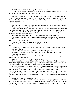No, Lasthenia, you mustn"t! If you speak out, all will be lost!

If I *don't*, all will be lost. If he"s allowed to continue, uncontested, he will soon persuade the others—you know how he can talk. And he"s rich too.

So?

Well, don't you see? Plato is getting old. Unless he names a successor, the Academy will close, then Aristotle will open his own school. He knows Plato will never ask him to carry on the Academy, his ideas are too different. And as far as I know, he hasn"t named anyone. Has he sent any word to you about it?

To me?

Well why not? You heard what Speusippus said he said about you, "Axiotheo alone has the mind bright enough to grasp my ideas."

Yes but that doesn't mean he's going to name me his successor. Sometimes I think he knows I"m really Axiothe*a.* And he knows as well as I that if the next director were a woman, the state would stop its funding. And unlike Aristotle, my father is not physician to the King—I have no private backing to keep a school going.

What about Samothea? She was head of the Hyperborean University in Cornwall.

True enough. I don"t know how she managed. I would think enrolment as well as funding would decrease. But she"s a Briton, things must be different there. No, Plato would be wise to name Lycurgus or Demosthenes.

Those airheads? Maybe they speak well, but they say nothing.

How would you know? You never listen! You"re always too busy distracting me with these notes!

I listen when there"s something worth listening to. And Aristotle is not worth listening to. Give him a chance.

A chance? Did you *hear* what he just said? Axio, I have to speak out!

No, Lasthenia, be careful of winning a battle only to lose a war! The time isn't right! The time is never right!

That's not true. Wait until this mess with the Macedonians has passed. Everything's at loose ends now, our voice will get lost.

But when everything's tight, there's no room for our voice.

No, listen, we have to wait until the men feel secure. If we rise now, we"re just one more threat. Their response will be irrational, flung out of fear. When things are settled, when they are sure of their own position, then they can listen to the arguments about ours.

No! They were "secure" last century. And look what happened. Already Aspasia and Diotima are unacknowledged, forgotten. We hear only of Socrates, not of the women who taught him. And yet Diotima"s social philosophy and her theories on nature have never been surpassed. And Elpinice and Aglaonice—what has happened to them, to their work? The surer the men get of their "position", the surer they are to "put us in ours"! Perictyone alone is remembered, her papers are still read, but only because she's Plato's mother; you watch, as soon as he's dead, she'll be buried too!

No, that won"t happen, I don"t believe it!

It will! Axio, it has! Who is credited with the golden mean concept? Pythagoras, not Theano! She was brilliant! Mathematics, medicine, physics, psychology, named successor to his Institute at Croton—but is her name ever mentioned? And Theoclea, and Myla, Arignote, Damo— Axio, it"s gone on long enough! We *have* to do something, we *have* to speak out!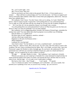No—you"re quite right—*you*!

*Me*?! You're crazy! Why me?

Well no one knows me from a hole in the ground. But if *Axio*—if Axio stands up as a *woman*— Plato will *have* to acknowledge you! You"re his favourite—he"ll have to *support* you! And so will all the other students: either that or retract their past judgements, admit error. And you know how unlikely that is.

Oh Lasthenia, I don"t know. You don"t know what you"re asking. As I said, I think Plato knows. And if I expose myself, I expose him. I"d be putting him in a very awkward position. You"re right, he *is* old, and what with the way things are, he may lose the Academy altogether if

I— No. I *owe* him, he"s let me attend his classes, even though I *am* a woman.

*You'd* be putting *him* in an awkward position? Look at us! Plato has given you *less* than you deserve! That's no cause for gratitude! You owe him nothing!

But Lasthenia, you"re exaggerating about Aristotle. His system of formal logic, remember his seminar last week? You must admit that what he proposes is an excellent way of thinking.

Does he think *we're* capable of it?

His three types of soul, vegetative, sensitive, rational—

Ask him which type women have.

Happiness as the aim of all human action—

*Whose* happiness?

Lasthenia, he's *not* that bad!

Axio *listen* to him! "For the female is, as it were, a mutilated male"—not that bad?? Axio, I beg you—think of Arete. She"s eleven now. In a few years, she"ll be ready to come to the Academy, she can"t learn everything from her father. She"s very bright, you know that. I gave her Perictyone"s paper *On Wisdom* to read a fortnight ago. Do you know, she understood it? And questioned very well! Do you want her to bind her breasts too, paste on a beard and learn to swagger—do you condemn her as well to silence in school?

All right. All right. Maybe it *is* time. But Lasthenia, I can"t stand up to Aristotle.

What do you mean you can't stand up to Aristotle! For a man interested in empirical data, he seems positively blind to the reality of women. Just tell him the facts, tell him what we can do, what we are. And his logic—it's so weak, even *I* could make it collapse.

But look at who's here—they'll laugh— I can't speak. I'll squeak.

Axio, I"ve heard you speak. You"re intelligent, you"re articulate—you *can so* speak. Just pretend you"re speaking to me Axio, as you do every evening—go, you can do it!

Appendix entry for "The Dialogue"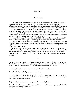# **APPENDIX**

### *The Dialogue*

There seems to be some controversy over the status of women in 4th century BCE Athens. French (p. 144), footnoting Chicago (p. 123), describes women on a par with slaves, a state of affairs which required women to disguise themselves as men in order to attend school. An item in Lefkowitz—"two of Plato's women disciples were said to have worn men's clothing" (Diog. Laert. 3.46)—seems to support this, and many other fragments in Lefkowitz seem to me to reveal an attitude of misogyny and a reality of women as second class citizens. But Davis (p. 186-194) and Boulding (p. 258-265) say this view is inaccurate, and they describe classical Greece as a free state: women could and did hold property, have the right to unilateral divorce, contest and succeed in courts, carry on a business, and attend schools (undisguised).

I wrote "The Dialogue" to take place in 359 BCE—Plato would be around 68, Aristotle 25, Arete 11. Also, some kind of upheaval involving Macedonia was imminent at that time.

The opening discussion between Axiothea and Lasthenia concerning justice stems from *Book I* of Plato's *Republic* in which he posits the following situation: "Suppose that a friend when in his right mind has deposited arms with me and he asks for them when he is not in his right mind, ought I to give them back to him?"

Of interest: after I had finished the piece, I read (in Carroll) that Axiothea had become a teacher of philosophy and that "her reputation has suffered from the association of her name with that of Lasthenia" (p. 312) who, he goes on to suggest, became "promiscuous" with the male students (including Speusippus), but 'nevertheless' "possessed some reputation as a philosopher" (p. 312).

Axiothea (4th Century BCE)—a Philasian, student of Plato; Plato did indeed praise Axiothea as described (French p. 144, footnoting Chicago p. 123), but as indicated below, it's unclear whether or not he knew she was a woman (even if she was disguised, he might"ve known)

 $\sim$ 

Lasthenia (4th Century BCE)—a Mantinean from Arcadia, student of Plato

Aglaonice (5th Century BCE)—astronomer, astrologer

Arete (370-340 BCE)—head of a school in Cyrene with many distinguished students, a prolific writer (40 works attributed to her include pieces on philosophy, agriculture, and history), daughter and disciple of Aristippus of Cyrene

Arignote (6th-5th Century BCE)—daughter of Theano and Pythagoras

Aristoclea a.k.a. Theoclea a.k.a. Themistoclea (6th Century BCE)—head of priesthood at Delphi, Pythagoras" sister, taught Pythagoras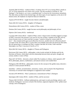Aristotle (384-322 BCE)—studied at Plato"s Academy from 367 to its closing (Plato"s death) in 347; in 334 he opened his own school, the Lyceum. The line ascribed to Aristotle in "The Dialogue" ("the female is, as it were, a mutilated male") is from his *De Generatione Animalium*. The other ideas ascribed to him (formal logic, the three types of soul, happiness as the aim of all human action, the emphasis on empirical data) are indeed his.

Aspasia (470-410 BCE)—taught Socrates rhetoric and philosophy

Damo (6th-5th Century BCE)—daughter of Pythagoras

Demosthenes (4th Century BCE)—student of Plato, orator

Diotima (5th Century BCE)—taught Socrates social philosophy and philosophy of love

Elpinice (5th Century BCE)—intellectual

Lycurgus (4th Century BCE)—student of Plato, orator; I chose to have Axiothea suggest Lycurgus as Plato's successor only because I was sure he was one of Plato's students at the time, but my choice became ironic as I later read that Lycurgus "wanted to bring the women under his laws"—they resisted and he gave up (Lefkowitz); however, another item (in Lefkowitz) placed Lycurgus in the 7th Century BCE, so since there was probably more than one person by that name, the one quoted above is perhaps not Plato's student; and after all of that, I later read that Speusippus was Plato"s successor (Carroll, p.311)

Myia (6th-5th Century BCE)—daughter of Theano and Pythagoras

Perictyone (5th Century BCE)—philosopher, writer (works include *On Wisdom* and *On the Harmony of Women*, which deals with the relationship between body and spirit, thought and action), mother or sister of Plato

Plato (427-347 BCE)—directed a school called The Academy in Athens, which opened in 387 BCE; philosophy, physics, mathematics, and natural sciences were studied there

Pythagoras (582-500 BCE)—philosopher, known for the concept of the golden mean, directed a school in Croton (around 530 BCE)

Samothea—a Briton, invented letters, astronomy, science, and was head of the Hyperborean University at Cornwall where Pythagoras is supposed to have studied

Socrates (470-399 BCE)—Plato"s predecessor, immortalized in Plato"s *Dialogues*

Speusippus (4th Century BCE)—student of Plato, and his successor

Theano (540-510 BCE)—brilliant mathematician, and expert in early psychology, physics, and medicine, Pythagoras' successor as head of the Institute, supposed originator of the 'golden mean' concept, wife of Pythagoras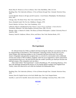Beard, Mary R. *Woman as a Force in History*. New York: MacMillan, 1946. 313-314.

Boulding, Elise. *The Underside of History: A View of Women through Time*. Colorado: Westview Press, 1976

Carroll, Mitchell. *Women in All Ages and All Countries—Greek Women*. Philadelphia: The Rittenhouse Press, 1907.

Chicago, Judy. *The Dinner Party*. New York: Anchor Press, 1979.

Davis, Elizabeth Gould. *The First Sex*. Middlesex: Penguin, 1979.

French, Marilyn. *On Power*. New York: Doubleday, 1979.

Lefkowitz, Mary R. and Maureen B. Fant. *Women's Life in Greece and Rome: A Sourcebook in Translation*. Baltimore: The Johns Hopkins University Press, 1982. 123-124.

Menage, Gilles. tr. Beatrice H. Zedlar. *The History of Women Philosophers*. Lanham: University Press of America, 1984.

Pomeroy, Sarah B. *Goddesses, Whores, Wives, and Slaves*. New York: Shocken Books, 1975.

#### **RETURN**

•

# *The Experiment*

Dr. Edward Jenner (b.1749) is credited with discovering the small-pox vaccination; he did so by experimenting as described in "The Experiment" (injecting cowpox into the arm of a boy, James Phipps, then injecting smallpox to see if immunity had been achieved). First told by Jenner"s biographer and generally accepted, there is a record of a conversation with a milkmaid, several years earlier (1766 in Sodbury, England, where he was an apprentice), which catalyzed his experimentation/discovery: she had told him that she couldn"t possibly get small-pox because she had had cowpox. (The cowparties were my idea.)

After I had written "The Experiment", I read in Boulding (p. 597, footnoting Stenton p. 261) that Lady Montagu introduced the practice of vaccinating against smallpox into England from Turkey, where she observed its use while her husband was ambassador there.

Boulding, Elise. *The Underside of History: A View of Women through Time.* Colorado: Westview Press, 1976

Stenton, Doris M. *English Society in the Early Middle Ages.* New York: Penguin Books.

Sutcliffe, A. and A.P.D. Sutcliffe. *Stories from Science III.* Cambridge: University Press, 1965. 33-39.

#### **RETURN**

•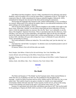### *The Grapes*

John Milton had three daughters: Anne (b. 1646), remembered for her deformity and speech disability, said to be unable even to write her name (Mary"s explanation of this in "The Grapes" is conjecture); Mary (b. 1648), remembered for being an undutiful daughter; Deborah (b. 1652), remembered for being the most devoted of the three and becoming his amanuensis.

The bit about the languages they learned to read, without understanding, is true, according to my research. Milton paid a lot to educate his nephew (that is, at an educational institution), but he spent nothing at all on his daughters' education.

After he became blind (1652), he often called his daughters in the middle of the night to take down verses. When they "rebelled", he sent them to learn gold and silver embroidery (a luxury trade to which the apprenticeship was onerous). But who the "them" was is debatable, as are the dates of the daughters' departure from home. There is speculation that only the eldest two, Anne and Mary, were sent away to learn embroidery, and apparently 1669 was the last year Deborah read for her father (she then left for Ireland with a woman named Meriam), so I have set the story in about 1668, with Mary (20 years old) writing from "away" to Deborah (16 years old) still at 'home' (presumably by choice).

The words attributed to Milton are indeed his. The words Mary read "just the other day" are Garnett's.

And indeed his will left little 'recompense': he allotted a mere one hundred pounds to each of his "unkind daughters".

Of interest, Milton"s first wife left him after one month.

Bush, Douglas. John Milton: *A Sketch of his Life and Writings.* New York: MacMillan, 1964.

Garnett, Richard. *Life and Writings of John Milton.* Pennsylvania: Folcroft, 1980.

Keightley, Thomas. *An Account of the Life, Opinions, and Writings of John Milton.* London: Chapman and Hall, 1855.

Saillens, Emile. *John Milton: Man—Poet—Polemicist.* New York: Oxford, 1964.

### **RETURN**

•

# *The Model*

The Helen and Suzanne of "The Model" are the Fourment sisters. Helen married Rubens in 1630 when she was 16 (Rubens was then 53). She modelled for him throughout their marriage—overtly for *Helen Fourment and two of her children* and for *The Little Fur*, but, as one author said, "She could be found in one guise or another in virtually every major painting" (Avermaete); indeed, Edwards states that "In the romantic *Garden of Love*, all ten of the young women in the painting were based on the artist's wife and her many sisters" (p. 196).

Suzanne, it is speculated, had a brief affair with Rubens some time in 1627. She was the model for his painting *Le Chapeau de Paille* which was done in 1620, and apparently she sat for him on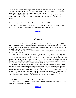several other occasions. I have no proof that some of these occasions were for *The Rape of the Daughters of Leucippus*: although the body type (luscious!) is right, the year (1617) makes it questionable—but I couldn"t resist using that title in this piece.

Rubens (1577-1640) is a Flemish painter, perhaps known most for his portraits and his nudes. To be honest, I don"t know if he signed his paintings (this in reference to a comment in "The Model").

Avermaete, Roger. *Rubens and his Times*. London: Allen and Unwin, 1968.

Edwards, Samuel. *Peter Paul Rubens: A Biography of a Giant*. New York: David McKay Co., 1973. Wedgewood, C. V. et al. *The World of Rubens*. New York: Time Life Books, 1967.

#### **RETURN**

•

### *The Patent*

According to *Funk and Wagnalls*, Eli Whitney designed and built the cotton gin in 1792, while a guest at Catherine Greene's plantation. More recent accounts identify Greene (1731-1814) as the inventor, accounting for the historical inaccuracy partly with the fact that women were not allowed to take out a patent at the time.

Catherine II (1726-1796) was a czarina; among her many accomplishments is the introduction of crop rotation to Russia.

The relationship between Catherine Greene and Catherine II is, as far as I know, fictional. Charlotte is also fictional, and "the grandchildren" are mentioned without supporting fact.

I cheated on the mention of a "bleached potato bag": bleaching powder didn't come into use until 1799 and bleaching liquid even later than that (and I have no idea if potatoes were grown in Georgia in the late 18th century). I also may have cheated on the mention of sequins—I don"t know when they were 'invented' and haven't been able to find out!

Of interest, Whitney and Miller (who married Greene in 1796) became partners and began to manufacture cotton gins, but because of a disastrous factory fire, they couldn"t make enough to meet the market demands. Added to the fact that though the patent was issued in 1794, the decision needed to protect the patent wasn't made until 1807, and in 1812 renewal of the patent was denied to Whitney, very little money was made. In 1798, Whitney turned instead to the manufacture of firearms, and signed a contract to supply the Federal government with 10,000 military muskets. In 1900, he was one of the original 29 Americans chosen for the Hall of Fame.

Chicago, Judy. *The Dinner Party*. New York: Anchor Press, 1979.

Morse, Joseph Laffan et al. *Funk and Wagnalls New Encyclopedia*. New York: Funk and Wagnalls, Inc., 1972. vol. 25: 109-110; vol. 18: 354-355.

#### **RETURN**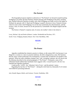# *The Portrait*

•

The biographical aspects implied or referred to in "The Portrait" are factual (Leopold teaching Wolfgang at an earlier age than Nannerl; Nannerl playing with Wolfgang at the piano, teaching him; Nannerl allowed to perform in public only when Wolfgang was ready to do so; the typhus in Holland; the episode with J.C.Bach and Wolfgang; Leopold's decision to leave Nannerl at home when he went to Italy with Wolfgang). So are the tours mentioned, the advertisements, and the reviews. And, of course, factual too are the portraits by Carmontelle: the alleged original and the revision.

The fiction is Nannerl"s response and, of course, her mother"s letter to her about it.

Levey, Michael. *Life and Death of Mozart*. London: Weidenfeld and Nicolson, 1971. Seroff, Victor. *Wolfgang Amadeus Mozart*. New York: MacMillan, 1965.

#### **RETURN**

•

### *The Protest*

Agnodice established her obstetric practice in Athens, in 4th century BCE, but because it was illegal for a woman or a slave to practise medicine, she did so disguised as a man. Her business thrived, many women preferring to be examined by a woman (she revealed her true gender to her patients). When her male colleagues charged "him" with "corrupting" patients, she was faced with the dilemma described in the second paragraph of "The Protest". Fortunately, some of her influential friends lobbied their husbands (Jack suggests with a "sexual boycott"); the law was repealed and Agnodice pardoned.

I made up the 'AAOG', the 'Athenian Code of Laws', and the patients' names.

Regarding the last line of "The Protest"—during the witch hunt era, thousands (?) of women were killed for practising medicine.

Jack, Donald. *Rogues, Rebels, and Geniuses*. Toronto: Doubleday, 1981.

#### **RETURN**

•

# *The Ride*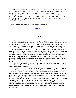It is fact that Godiva (or "Godgifu") was the wife of Leofric, who was the earl of Mercia and lord of Coventry (around 1040-1085). And she did indeed ride naked through the town. And it was to secure his promise that he would lower the taxes, per her request, if she did so.

Other passing items of fact include the relative poverty of the peasants, the lack of education for women at the time, Ethelfled and her achievements (911-918), and the practice of consulting wives about public policy; and Leopold did establish a Benedictine monastery, in 1043. The rest, including Gawaina, is fiction.

Unfortunately, I neglected to note the books I used to research this one.

#### **RETURN**

•

# *The Ring*

Martha Bernays was born in 1861 in Germany; at the age of 25 she married Sigmund Freud, and according to all the accounts I have read (there are few indeed that mention her\*), she became "the perfect little housewife". Minna, her sister, came to live with Sigmund and Martha after Anna"s birth (1895). There is controversy over the relationship between Sigmund and Minna; some speculate there was sexual involvement and a subsequent abortion (Isbister, p. 133).

Other biographical references in "The Ring" are factual: Martha"s childhood and family background; her courtship—the long discussions and letters as well as the conflicts and Martha"s other admirers; Sigmund"s "confession" about Martha"s intelligent writing; her many pregnancies/children—six in eight years; the arguments about the candles and the children"s names; the incident with Sigmund's sister's piano. The bit about Sigmund belief that sexual intercourse remedies anxiety and his consequent regular rape of Martha is conjectured from his documented belief that *coitus interruptus* and prolonged sexual abstinence causes anxiety in women.

Freud (1856-1939) was a psychoanalyst remembered most for his views on sexuality; those presented in "The Ring" are, to the best of my abilities, accurately described (as are his views on women apart from their sexuality).

Lou Salomé, like Martha Bernays, was born in 1861, but in Russia. At 22, she became close friends with Rée and Nietzsche. At 36, she became close to Rainer Maria Rilke. And at 52, she attended one of Freud"s lectures and then became one of his closest friends until he died; his daughter, Anna, also became close to her. And she did indeed receive one of the rings as described in "The Ring". (Other recipients include Marie Bonaparte, Helen Deutsch, Hilda Doolittle, and Anna Freud.) Although the books I read that mention Salomé mention first and foremost her relationships with men of note, she was a philosopher, writer, and psychoanalyst in her own right (Martha"s passing references to Lou"s life and accomplishments are not fictional): her stories, essays, and novels made her famous; she wrote the first feminist study of Ibsen"s women and a study of Nietzsche (neither is in print); she has left many unpublished manuscripts, letters, and diaries, as well as a published autobiography; and she was one of the first practising women psychoanalysts.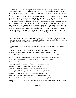Nietzsche (1844-1900) was a philosopher remembered most perhaps for his theories of the superman and slave morality. His views on women which I have presented in "The Ring" are, to the best of my abilities, accurately described. (The phrases in quotation marks are either verbatim quotations or very close paraphrases.)

I have dated the letter to 1925: both women would be 64, Martha, well past the childcare phase of her life, and Lou, a practising psychoanalyst in Goltivgen, having exchanged letters with Sigmund for about 10 years. (Martha died in 1952 at 90, Lou in 1937 at 72.)

Of interest, I was particularly appalled reading Binion. Several accounts describe Nietzsche"s repeated desire to marry Lou and Lou"s repeated rejection of the idea. Nietzsche himself, in *My Sister and I*, says "had I married my slavic princess [Lou], I might have been happy ... how could she have resisted me?..." (10,20). But Binion says Lou"s "fiction and some of her later friendships represent repeated attempts to cope with her rejection by Nietzsche" (p. vi). He goes on to say that "her trouble in being a woman was at the source ... of her whole mental life" ( $p$ .ix) and that "her accounts of herself ... are really fanciful through and through..." (p. x).

\*And so perhaps my presumed blatant misrepresentation of her personality is more acceptable when one recognizes that it is unwise to conclude anything, perhaps especially that she really was a good little hausfrau, based on such a small sample.

~

Binion, Rudolph. *Frau Lou—Nietzsche's Wayward Disciple*. New Jersey: Princeton University Press, 1968.

Clarke, Ronald W. *Freud—The Man and his Cause*. New York: Random House, 1980.

Freeman, Lucy. *Freud and Women*. New York: Frederick Unger Publishing Co., 1981.

Friedan, Betty Friedan. *The Feminine Mystique*. New York: Dell Publishing Co. Inc., 1963.

Isbister, J. N. *Freud—An Introduction to his Life and Work*. Cambridge: Polity Press, 1985.

Jones, Ernest. *Sigmund Freud: Life and Work*. London: Hogarth Press, 1953. vol. 1.

Kennedy, J. M. *Nietzsche*. New York: Haskell, 1974.

Nietzsche, Friedrich. *Beyond Good and Evil*. New York: Gordon Press, 1974.

Nietzsche, Friedrich. *Ecce Homo*. New York: Penguin, 1979.

Nietzsche, Friedrich. *My Sister and I*. New York: Boar"s Head Books, 1951.

Nietzsche, Friedrich. *Thus Spake Zarathustra*. New York: Penguin, 1961.

Nietzsche, Friedrich. *Will to Power*. New York: Random House, 1968.

Peters, H.F. *Zarathustra's Sister*. New York: Crown Publishers, Inc., 1977.

Peters, H. F. *My Sister, My Spouse*. New York: W. W. Norton and Co., 1962.

Salome, Lou. tr. Stanley A. Leary. *The Freud Journal of Lou Andreas-Salomé*. New York: Basic Books Inc., 1964.

#### **RETURN**